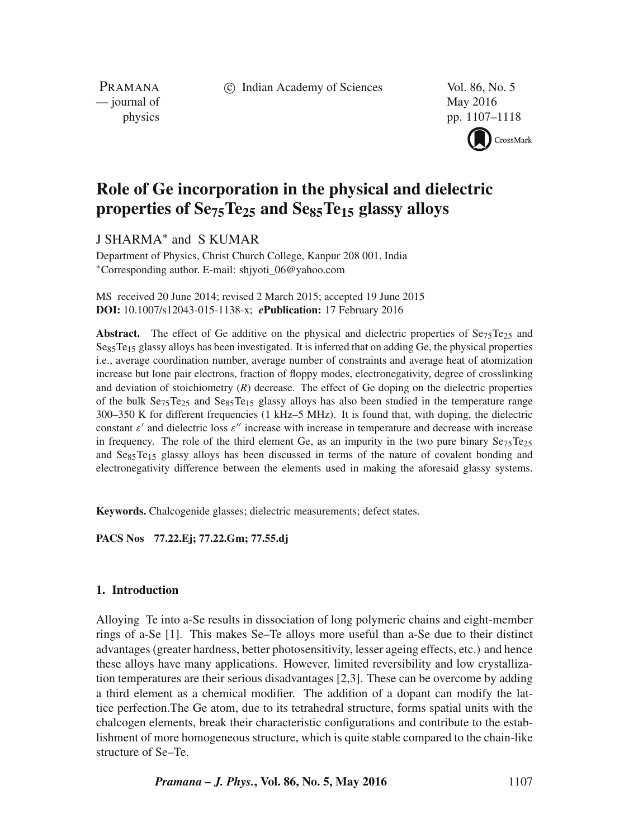c Indian Academy of Sciences Vol. 86, No. 5

PRAMANA — journal of May 2016

physics pp. 1107–1118 CrossMark

# **Role of Ge incorporation in the physical and dielectric properties of Se75Te25 and Se85Te15 glassy alloys**

J SHARMA∗ and S KUMAR

Department of Physics, Christ Church College, Kanpur 208 001, India ∗Corresponding author. E-mail: shjyoti\_06@yahoo.com

MS received 20 June 2014; revised 2 March 2015; accepted 19 June 2015 **DOI:** 10.1007/s12043-015-1138-x; *e***Publication:** 17 February 2016

**Abstract.** The effect of Ge additive on the physical and dielectric properties of  $S_{275}Te_{25}$  and Se<sub>85</sub>Te<sub>15</sub> glassy alloys has been investigated. It is inferred that on adding Ge, the physical properties i.e., average coordination number, average number of constraints and average heat of atomization increase but lone pair electrons, fraction of floppy modes, electronegativity, degree of crosslinking and deviation of stoichiometry (*R*) decrease. The effect of Ge doping on the dielectric properties of the bulk  $Se_{75}Te_{25}$  and  $Se_{85}Te_{15}$  glassy alloys has also been studied in the temperature range 300–350 K for different frequencies (1 kHz–5 MHz). It is found that, with doping, the dielectric constant  $\varepsilon'$  and dielectric loss  $\varepsilon''$  increase with increase in temperature and decrease with increase in frequency. The role of the third element Ge, as an impurity in the two pure binary  $Se<sub>75</sub>Te<sub>25</sub>$ and Sess Te<sub>15</sub> glassy alloys has been discussed in terms of the nature of covalent bonding and electronegativity difference between the elements used in making the aforesaid glassy systems.

**Keywords.** Chalcogenide glasses; dielectric measurements; defect states.

**PACS Nos 77.22.Ej; 77.22.Gm; 77.55.dj**

## **1. Introduction**

Alloying Te into a-Se results in dissociation of long polymeric chains and eight-member rings of a-Se [1]. This makes Se–Te alloys more useful than a-Se due to their distinct advantages (greater hardness, better photosensitivity, lesser ageing effects, etc.) and hence these alloys have many applications. However, limited reversibility and low crystallization temperatures are their serious disadvantages [2,3]. These can be overcome by adding a third element as a chemical modifier. The addition of a dopant can modify the lattice perfection.The Ge atom, due to its tetrahedral structure, forms spatial units with the chalcogen elements, break their characteristic configurations and contribute to the establishment of more homogeneous structure, which is quite stable compared to the chain-like structure of Se–Te.

*Pramana – J. Phys.***, Vol. 86, No. 5, May 2016** 1107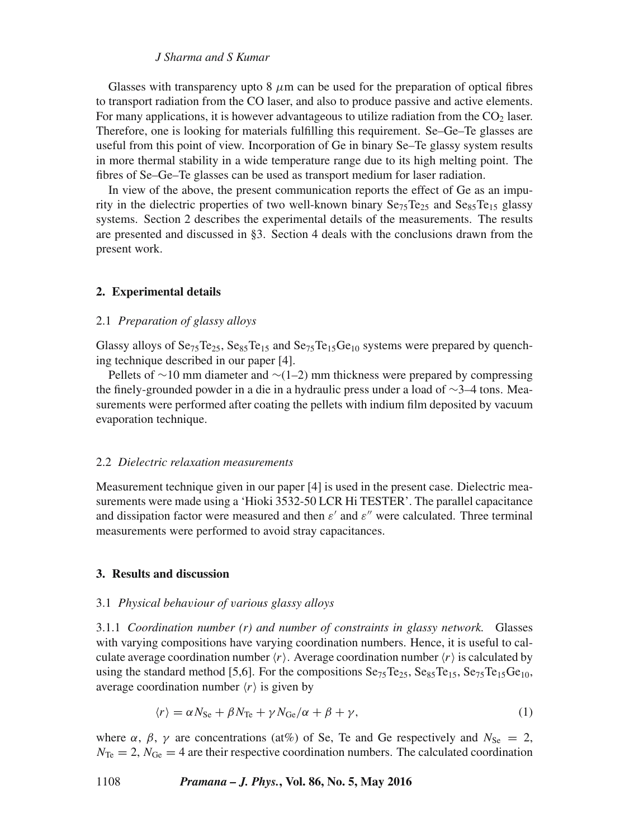Glasses with transparency upto 8  $\mu$ m can be used for the preparation of optical fibres to transport radiation from the CO laser, and also to produce passive and active elements. For many applications, it is however advantageous to utilize radiation from the  $CO<sub>2</sub>$  laser. Therefore, one is looking for materials fulfilling this requirement. Se–Ge–Te glasses are useful from this point of view. Incorporation of Ge in binary Se–Te glassy system results in more thermal stability in a wide temperature range due to its high melting point. The fibres of Se–Ge–Te glasses can be used as transport medium for laser radiation.

In view of the above, the present communication reports the effect of Ge as an impurity in the dielectric properties of two well-known binary  $Se_{75}Te_{25}$  and  $Se_{85}Te_{15}$  glassy systems. Section 2 describes the experimental details of the measurements. The results are presented and discussed in §3. Section 4 deals with the conclusions drawn from the present work.

## **2. Experimental details**

# 2.1 *Preparation of glassy alloys*

Glassy alloys of  $Se_{75}Te_{25}$ ,  $Se_{85}Te_{15}$  and  $Se_{75}Te_{15}Ge_{10}$  systems were prepared by quenching technique described in our paper [4].

Pellets of ∼10 mm diameter and ∼(1–2) mm thickness were prepared by compressing the finely-grounded powder in a die in a hydraulic press under a load of ∼3–4 tons. Measurements were performed after coating the pellets with indium film deposited by vacuum evaporation technique.

## 2.2 *Dielectric relaxation measurements*

Measurement technique given in our paper [4] is used in the present case. Dielectric measurements were made using a 'Hioki 3532-50 LCR Hi TESTER'. The parallel capacitance and dissipation factor were measured and then  $\varepsilon'$  and  $\varepsilon''$  were calculated. Three terminal measurements were performed to avoid stray capacitances.

### **3. Results and discussion**

#### 3.1 *Physical beha*v*iour of* v*arious glassy alloys*

3.1.1 *Coordination number (r) and number of constraints in glassy network.* Glasses with varying compositions have varying coordination numbers. Hence, it is useful to calculate average coordination number  $\langle r \rangle$ . Average coordination number  $\langle r \rangle$  is calculated by using the standard method [5,6]. For the compositions  $Se_{75}Te_{25}$ ,  $Se_{85}Te_{15}$ ,  $Se_{75}Te_{15}Ge_{10}$ , average coordination number  $\langle r \rangle$  is given by

$$
\langle r \rangle = \alpha N_{\rm Se} + \beta N_{\rm Te} + \gamma N_{\rm Ge}/\alpha + \beta + \gamma, \tag{1}
$$

where  $\alpha$ ,  $\beta$ ,  $\gamma$  are concentrations (at%) of Se, Te and Ge respectively and  $N_{\text{Se}} = 2$ ,  $N_{\text{Te}} = 2$ ,  $N_{\text{Ge}} = 4$  are their respective coordination numbers. The calculated coordination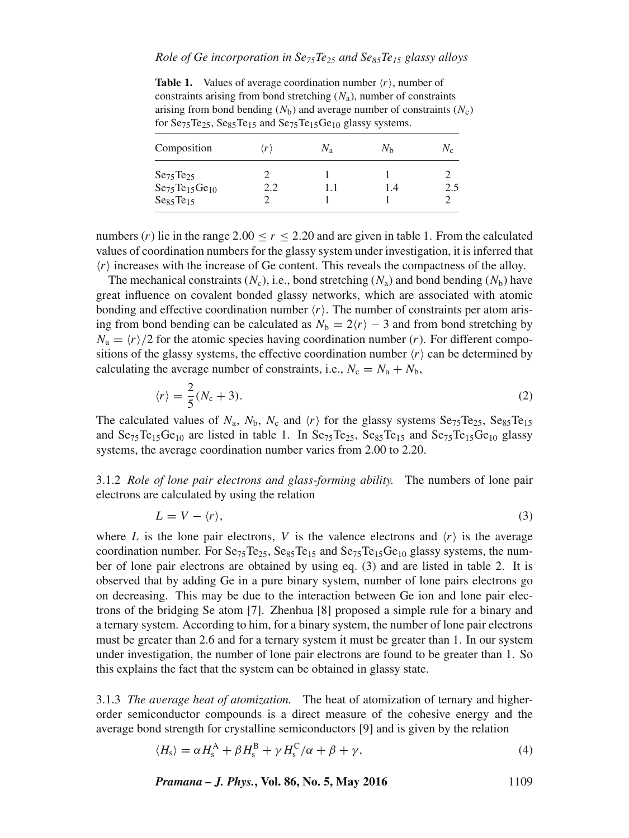# *Role of Ge incorporation in Se75Te25 and Se85Te15 glassy alloys*

**Table 1.** Values of average coordination number  $\langle r \rangle$ , number of constraints arising from bond stretching  $(N_a)$ , number of constraints arising from bond bending  $(N_b)$  and average number of constraints  $(N_c)$ for  $Se_{75}Te_{25}$ ,  $Se_{85}Te_{15}$  and  $Se_{75}Te_{15}Ge_{10}$  glassy systems.

| Composition                       | $\langle r \rangle$ | $N_{\rm a}$ | $N_{\rm h}$ | Ne  |
|-----------------------------------|---------------------|-------------|-------------|-----|
| Se <sub>75</sub> Te <sub>25</sub> |                     |             |             |     |
| $Se_{75}Te_{15}Ge_{10}$           | 2.2                 |             | l .4        | 2.5 |
| Se <sub>85</sub> Te <sub>15</sub> |                     |             |             |     |

numbers  $(r)$  lie in the range 2.00  $\lt r \lt 2.20$  and are given in table 1. From the calculated values of coordination numbers for the glassy system under investigation, it is inferred that  $\langle r \rangle$  increases with the increase of Ge content. This reveals the compactness of the alloy.

The mechanical constraints  $(N_c)$ , i.e., bond stretching  $(N_a)$  and bond bending  $(N_b)$  have great influence on covalent bonded glassy networks, which are associated with atomic bonding and effective coordination number  $\langle r \rangle$ . The number of constraints per atom arising from bond bending can be calculated as  $N_b = 2\langle r \rangle - 3$  and from bond stretching by  $N_a = \langle r \rangle/2$  for the atomic species having coordination number (r). For different compositions of the glassy systems, the effective coordination number  $\langle r \rangle$  can be determined by calculating the average number of constraints, i.e.,  $N_c = N_a + N_b$ ,

$$
\langle r \rangle = \frac{2}{5}(N_c + 3). \tag{2}
$$

The calculated values of  $N_a$ ,  $N_b$ ,  $N_c$  and  $\langle r \rangle$  for the glassy systems Se<sub>75</sub>Te<sub>25</sub>, Se<sub>85</sub>Te<sub>15</sub> and  $Se_{75}Te_{15}Ge_{10}$  are listed in table 1. In  $Se_{75}Te_{25}$ ,  $Se_{85}Te_{15}$  and  $Se_{75}Te_{15}Ge_{10}$  glassy systems, the average coordination number varies from 2.00 to 2.20.

3.1.2 *Role of lone pair electrons and glass-forming ability.* The numbers of lone pair electrons are calculated by using the relation

$$
L = V - \langle r \rangle,\tag{3}
$$

where L is the lone pair electrons, V is the valence electrons and  $\langle r \rangle$  is the average coordination number. For  $Se_{75}Te_{25}$ ,  $Se_{85}Te_{15}$  and  $Se_{75}Te_{15}Ge_{10}$  glassy systems, the number of lone pair electrons are obtained by using eq. (3) and are listed in table 2. It is observed that by adding Ge in a pure binary system, number of lone pairs electrons go on decreasing. This may be due to the interaction between Ge ion and lone pair electrons of the bridging Se atom [7]. Zhenhua [8] proposed a simple rule for a binary and a ternary system. According to him, for a binary system, the number of lone pair electrons must be greater than 2.6 and for a ternary system it must be greater than 1. In our system under investigation, the number of lone pair electrons are found to be greater than 1. So this explains the fact that the system can be obtained in glassy state.

3.1.3 *The a*v*erage heat of atomization.* The heat of atomization of ternary and higherorder semiconductor compounds is a direct measure of the cohesive energy and the average bond strength for crystalline semiconductors [9] and is given by the relation

$$
\langle H_{\rm s} \rangle = \alpha H_{\rm s}^{\rm A} + \beta H_{\rm s}^{\rm B} + \gamma H_{\rm s}^{\rm C} / \alpha + \beta + \gamma, \tag{4}
$$

*Pramana – J. Phys.***, Vol. 86, No. 5, May 2016** 1109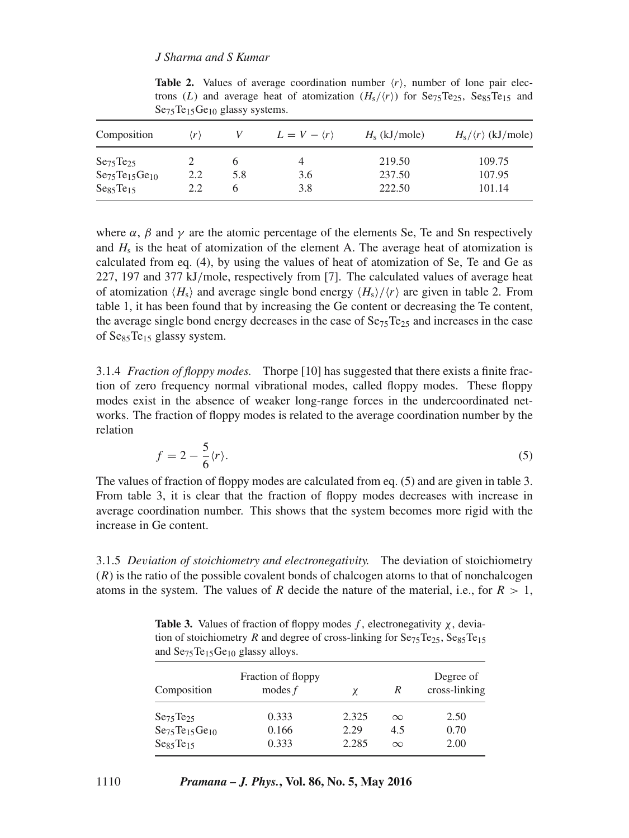| trons (L) and average near of atomization $(\pi_S/\langle r\rangle)$ for $\mathcal{S}\in\mathcal{S}_5$ (e), $\mathcal{S}\in\mathcal{S}_5$ (e), and<br>$Se75Te15Ge10$ glassy systems. |                     |     |                             |                 |                                   |
|--------------------------------------------------------------------------------------------------------------------------------------------------------------------------------------|---------------------|-----|-----------------------------|-----------------|-----------------------------------|
| Composition                                                                                                                                                                          | $\langle r \rangle$ |     | $L = V - \langle r \rangle$ | $H_s$ (kJ/mole) | $H_s/\langle r \rangle$ (kJ/mole) |
| $S_{275}$ Te <sub>25</sub>                                                                                                                                                           |                     | 6   | 4                           | 219.50          | 109.75                            |
| $Se75Te15Ge10$                                                                                                                                                                       | 2.2                 | 5.8 | 3.6                         | 237.50          | 107.95                            |
| Ses <sub>5</sub> Te <sub>15</sub>                                                                                                                                                    | 2.2                 | 6   | 3.8                         | 222.50          | 101.14                            |

**Table 2.** Values of average coordination number  $\langle r \rangle$ , number of lone pair elec $t = \sqrt{N}$  and average heat of atomization (Hs/r) for Se75Te25,  $\frac{1}{2}$ 

where  $\alpha$ ,  $\beta$  and  $\gamma$  are the atomic percentage of the elements Se, Te and Sn respectively and  $H<sub>s</sub>$  is the heat of atomization of the element A. The average heat of atomization is calculated from eq. (4), by using the values of heat of atomization of Se, Te and Ge as 227, 197 and 377 kJ/mole, respectively from [7]. The calculated values of average heat of atomization  $\langle H_s \rangle$  and average single bond energy  $\langle H_s \rangle / \langle r \rangle$  are given in table 2. From table 1, it has been found that by increasing the Ge content or decreasing the Te content, the average single bond energy decreases in the case of  $\text{Se}_{75}$ Te<sub>25</sub> and increases in the case of  $Se_85Te_{15}$  glassy system.

3.1.4 *Fraction of floppy modes.* Thorpe [10] has suggested that there exists a finite fraction of zero frequency normal vibrational modes, called floppy modes. These floppy modes exist in the absence of weaker long-range forces in the undercoordinated networks. The fraction of floppy modes is related to the average coordination number by the relation

$$
f = 2 - \frac{5}{6} \langle r \rangle.
$$
 (5)

The values of fraction of floppy modes are calculated from eq. (5) and are given in table 3. From table 3, it is clear that the fraction of floppy modes decreases with increase in average coordination number. This shows that the system becomes more rigid with the increase in Ge content.

3.1.5 *De*v*iation of stoichiometry and electronegati*v*ity.* The deviation of stoichiometry (R) is the ratio of the possible covalent bonds of chalcogen atoms to that of nonchalcogen atoms in the system. The values of R decide the nature of the material, i.e., for  $R > 1$ ,

**Table 3.** Values of fraction of floppy modes f, electronegativity  $\chi$ , deviation of stoichiometry R and degree of cross-linking for  $Se_{75}Te_{25}$ ,  $Se_{85}Te_{15}$ and Se<sub>75</sub>Te<sub>15</sub>Ge<sub>10</sub> glassy alloys.

| Composition                       | Fraction of floppy<br>modes $f$ | Degree of<br>cross-linking<br>R<br>γ |          |      |  |
|-----------------------------------|---------------------------------|--------------------------------------|----------|------|--|
| Se <sub>75</sub> Te <sub>25</sub> | 0.333                           | 2.325                                | $\infty$ | 2.50 |  |
| $Se75Te15Ge10$                    | 0.166                           | 2.29                                 | 4.5      | 0.70 |  |
| Ses <sub>5</sub> Te <sub>15</sub> | 0.333                           | 2.285                                | $\infty$ | 2.00 |  |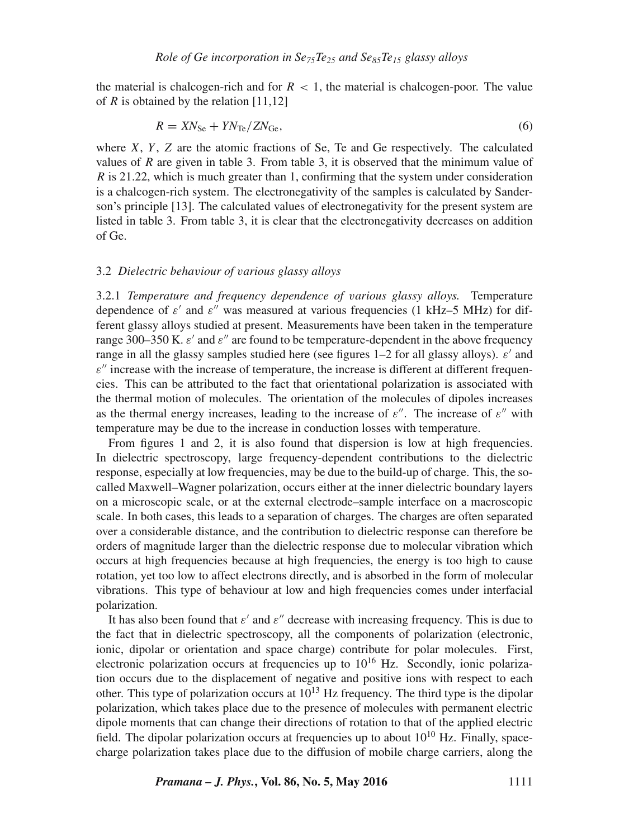the material is chalcogen-rich and for  $R < 1$ , the material is chalcogen-poor. The value of  $R$  is obtained by the relation [11,12]

$$
R = XN_{\rm Se} + YN_{\rm Te}/ZN_{\rm Ge},\tag{6}
$$

where  $X$ ,  $Y$ ,  $Z$  are the atomic fractions of Se, Te and Ge respectively. The calculated values of R are given in table 3. From table 3, it is observed that the minimum value of R is 21.22, which is much greater than 1, confirming that the system under consideration is a chalcogen-rich system. The electronegativity of the samples is calculated by Sanderson's principle [13]. The calculated values of electronegativity for the present system are listed in table 3. From table 3, it is clear that the electronegativity decreases on addition of Ge.

#### 3.2 *Dielectric beha*v*iour of* v*arious glassy alloys*

3.2.1 *Temperature and frequency dependence of* v*arious glassy alloys.* Temperature dependence of  $\varepsilon'$  and  $\varepsilon''$  was measured at various frequencies (1 kHz–5 MHz) for different glassy alloys studied at present. Measurements have been taken in the temperature range 300–350 K.  $\varepsilon'$  and  $\varepsilon''$  are found to be temperature-dependent in the above frequency range in all the glassy samples studied here (see figures 1–2 for all glassy alloys).  $\varepsilon'$  and  $\varepsilon$ " increase with the increase of temperature, the increase is different at different frequencies. This can be attributed to the fact that orientational polarization is associated with the thermal motion of molecules. The orientation of the molecules of dipoles increases as the thermal energy increases, leading to the increase of  $\varepsilon''$ . The increase of  $\varepsilon''$  with temperature may be due to the increase in conduction losses with temperature.

From figures 1 and 2, it is also found that dispersion is low at high frequencies. In dielectric spectroscopy, large frequency-dependent contributions to the dielectric response, especially at low frequencies, may be due to the build-up of charge. This, the socalled Maxwell–Wagner polarization, occurs either at the inner dielectric boundary layers on a microscopic scale, or at the external electrode–sample interface on a macroscopic scale. In both cases, this leads to a separation of charges. The charges are often separated over a considerable distance, and the contribution to dielectric response can therefore be orders of magnitude larger than the dielectric response due to molecular vibration which occurs at high frequencies because at high frequencies, the energy is too high to cause rotation, yet too low to affect electrons directly, and is absorbed in the form of molecular vibrations. This type of behaviour at low and high frequencies comes under interfacial polarization.

It has also been found that  $\varepsilon'$  and  $\varepsilon''$  decrease with increasing frequency. This is due to the fact that in dielectric spectroscopy, all the components of polarization (electronic, ionic, dipolar or orientation and space charge) contribute for polar molecules. First, electronic polarization occurs at frequencies up to  $10^{16}$  Hz. Secondly, ionic polarization occurs due to the displacement of negative and positive ions with respect to each other. This type of polarization occurs at  $10^{13}$  Hz frequency. The third type is the dipolar polarization, which takes place due to the presence of molecules with permanent electric dipole moments that can change their directions of rotation to that of the applied electric field. The dipolar polarization occurs at frequencies up to about  $10^{10}$  Hz. Finally, spacecharge polarization takes place due to the diffusion of mobile charge carriers, along the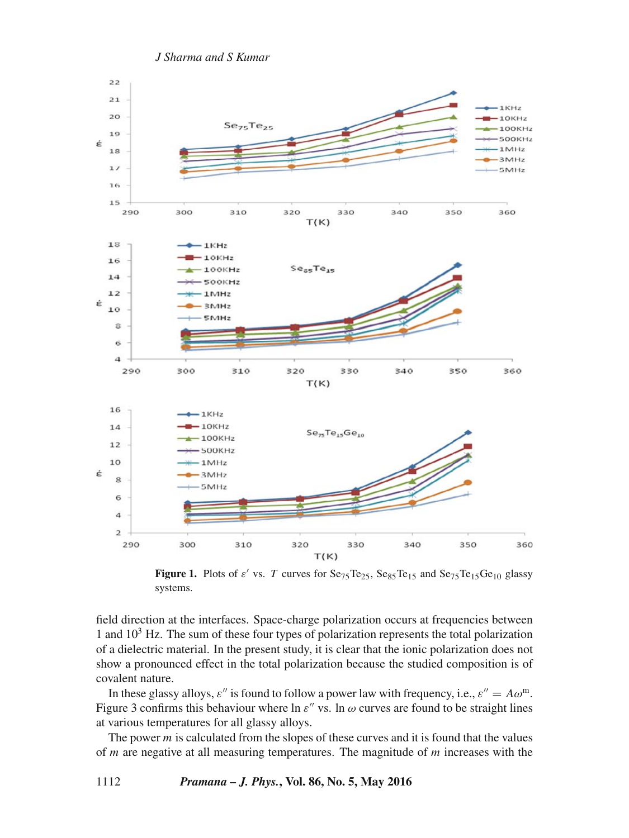

**Figure 1.** Plots of  $\varepsilon'$  vs. T curves for  $\text{Se}_{75}\text{Te}_{25}$ ,  $\text{Se}_{85}\text{Te}_{15}$  and  $\text{Se}_{75}\text{Te}_{15}\text{Ge}_{10}$  glassy systems.

field direction at the interfaces. Space-charge polarization occurs at frequencies between 1 and  $10<sup>3</sup>$  Hz. The sum of these four types of polarization represents the total polarization of a dielectric material. In the present study, it is clear that the ionic polarization does not show a pronounced effect in the total polarization because the studied composition is of covalent nature.

In these glassy alloys,  $\varepsilon''$  is found to follow a power law with frequency, i.e.,  $\varepsilon'' = A\omega^m$ . Figure 3 confirms this behaviour where ln  $\varepsilon''$  vs. ln  $\omega$  curves are found to be straight lines at various temperatures for all glassy alloys.

The power  $m$  is calculated from the slopes of these curves and it is found that the values of  $m$  are negative at all measuring temperatures. The magnitude of  $m$  increases with the

1112 *Pramana – J. Phys.***, Vol. 86, No. 5, May 2016**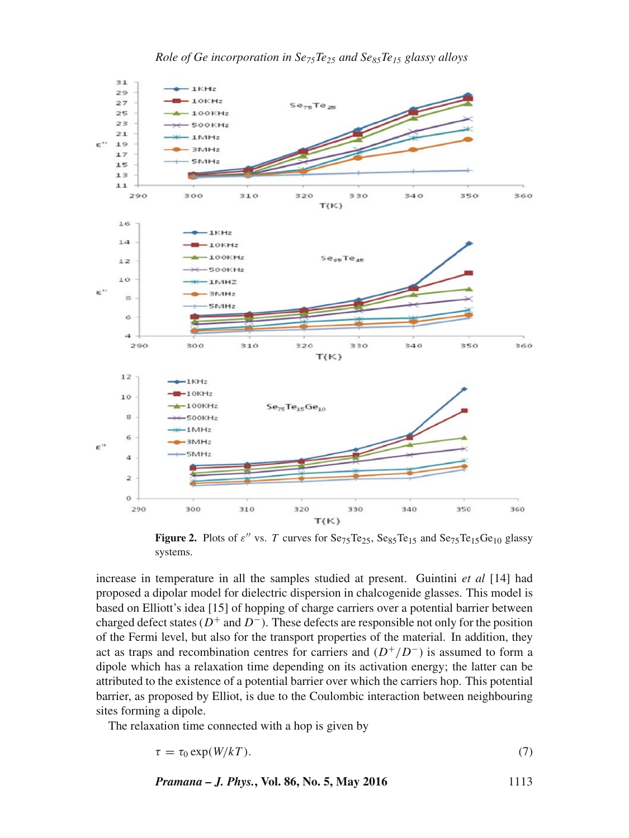

**Figure 2.** Plots of  $\varepsilon''$  vs. T curves for Se<sub>75</sub>Te<sub>25</sub>, Se<sub>85</sub>Te<sub>15</sub> and Se<sub>75</sub>Te<sub>15</sub>Ge<sub>10</sub> glassy systems.

increase in temperature in all the samples studied at present. Guintini *et al* [14] had proposed a dipolar model for dielectric dispersion in chalcogenide glasses. This model is based on Elliott's idea [15] of hopping of charge carriers over a potential barrier between charged defect states ( $D^+$  and  $D^-$ ). These defects are responsible not only for the position of the Fermi level, but also for the transport properties of the material. In addition, they act as traps and recombination centres for carriers and  $(D^+/D^-)$  is assumed to form a dipole which has a relaxation time depending on its activation energy; the latter can be attributed to the existence of a potential barrier over which the carriers hop. This potential barrier, as proposed by Elliot, is due to the Coulombic interaction between neighbouring sites forming a dipole.

The relaxation time connected with a hop is given by

$$
\tau = \tau_0 \exp(W/kT). \tag{7}
$$

*Pramana – J. Phys.***, Vol. 86, No. 5, May 2016** 1113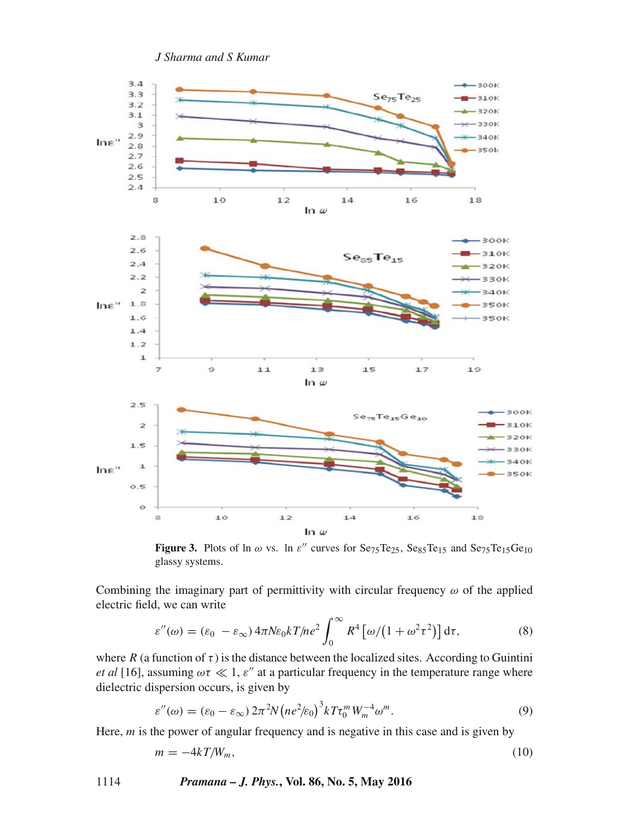

**Figure 3.** Plots of ln  $\omega$  vs. ln  $\varepsilon''$  curves for Se<sub>75</sub>Te<sub>25</sub>, Se<sub>85</sub>Te<sub>15</sub> and Se<sub>75</sub>Te<sub>15</sub>Ge<sub>10</sub> glassy systems.

Combining the imaginary part of permittivity with circular frequency  $\omega$  of the applied electric field, we can write

$$
\varepsilon''(\omega) = (\varepsilon_0 - \varepsilon_\infty) 4\pi N \varepsilon_0 k T / n e^2 \int_0^\infty R^4 \left[ \omega / \left( 1 + \omega^2 \tau^2 \right) \right] d\tau, \tag{8}
$$

where R (a function of  $\tau$ ) is the distance between the localized sites. According to Guintini *et al* [16], assuming  $\omega \tau \ll 1$ ,  $\varepsilon$ " at a particular frequency in the temperature range where dielectric dispersion occurs, is given by

$$
\varepsilon''(\omega) = (\varepsilon_0 - \varepsilon_\infty) 2\pi^2 N \left( n e^2 / \varepsilon_0 \right)^3 k T \tau_0^m W_m^{-4} \omega^m. \tag{9}
$$

Here,  $m$  is the power of angular frequency and is negative in this case and is given by

$$
m = -4kT/W_m,\tag{10}
$$

1114 *Pramana – J. Phys.***, Vol. 86, No. 5, May 2016**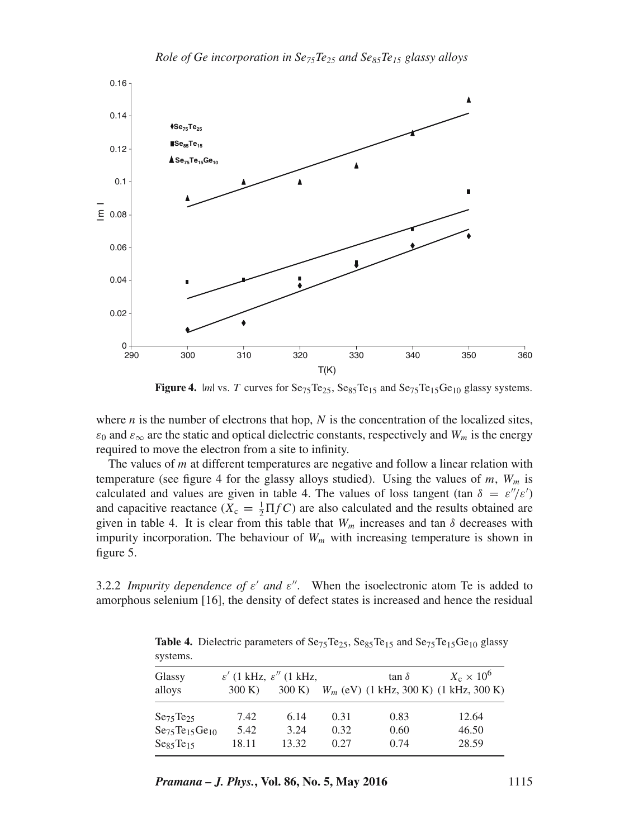

*Role of Ge incorporation in Se75Te25 and Se85Te15 glassy alloys*

**Figure 4.**  $|m|$  vs. T curves for  $Se_{75}Te_{25}$ ,  $Se_{85}Te_{15}$  and  $Se_{75}Te_{15}Ge_{10}$  glassy systems.

where  $n$  is the number of electrons that hop,  $N$  is the concentration of the localized sites,  $\varepsilon_0$  and  $\varepsilon_{\infty}$  are the static and optical dielectric constants, respectively and  $W_m$  is the energy required to move the electron from a site to infinity.

The values of  $m$  at different temperatures are negative and follow a linear relation with temperature (see figure 4 for the glassy alloys studied). Using the values of m,  $W_m$  is calculated and values are given in table 4. The values of loss tangent (tan  $\delta = \varepsilon''/\varepsilon'$ ) and capacitive reactance ( $X_c = \frac{1}{2} \Pi f C$ ) are also calculated and the results obtained are given in table 4. It is clear from this table that  $W_m$  increases and tan  $\delta$  decreases with impurity incorporation. The behaviour of  $W_m$  with increasing temperature is shown in figure 5.

3.2.2 *Impurity dependence of*  $\varepsilon'$  *and*  $\varepsilon''$ . When the isoelectronic atom Te is added to amorphous selenium [16], the density of defect states is increased and hence the residual

**Table 4.** Dielectric parameters of  $Se_{75}Te_{25}$ ,  $Se_{85}Te_{15}$  and  $Se_{75}Te_{15}Ge_{10}$  glassy systems.

| Glassy                            |        | $\varepsilon'$ (1 kHz, $\varepsilon''$ (1 kHz, |      | tan $\delta$ | $X_c \times 10^6$                        |
|-----------------------------------|--------|------------------------------------------------|------|--------------|------------------------------------------|
| alloys                            | 300 K) | 300 K)                                         |      |              | $W_m$ (eV) (1 kHz, 300 K) (1 kHz, 300 K) |
| $S_{275}$ Te <sub>25</sub>        | 7.42   | 6.14                                           | 0.31 | 0.83         | 12.64                                    |
| $Se75Te15Ge10$                    | 5.42   | 3.24                                           | 0.32 | 0.60         | 46.50                                    |
| Ses <sub>5</sub> Te <sub>15</sub> | 18.11  | 13.32                                          | 0.27 | 0.74         | 28.59                                    |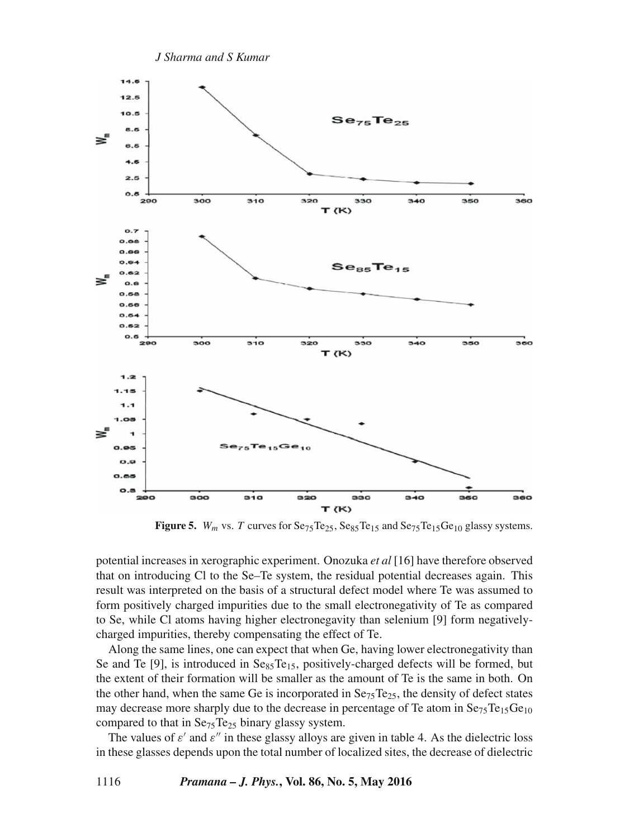

**Figure 5.**  $W_m$  vs. T curves for  $\text{Se}_{75}\text{Te}_{25}$ ,  $\text{Se}_{85}\text{Te}_{15}$  and  $\text{Se}_{75}\text{Te}_{15}\text{Ge}_{10}$  glassy systems.

potential increases in xerographic experiment. Onozuka *et al* [16] have therefore observed that on introducing Cl to the Se–Te system, the residual potential decreases again. This result was interpreted on the basis of a structural defect model where Te was assumed to form positively charged impurities due to the small electronegativity of Te as compared to Se, while Cl atoms having higher electronegavity than selenium [9] form negativelycharged impurities, thereby compensating the effect of Te.

Along the same lines, one can expect that when Ge, having lower electronegativity than Se and Te [9], is introduced in  $Se_{85}Te_{15}$ , positively-charged defects will be formed, but the extent of their formation will be smaller as the amount of Te is the same in both. On the other hand, when the same Ge is incorporated in  $Se_{75}Te_{25}$ , the density of defect states may decrease more sharply due to the decrease in percentage of Te atom in  $Se_{75}Te_{15}Ge_{10}$ compared to that in  $Se_{75}Te_{25}$  binary glassy system.

The values of  $\varepsilon'$  and  $\varepsilon''$  in these glassy alloys are given in table 4. As the dielectric loss in these glasses depends upon the total number of localized sites, the decrease of dielectric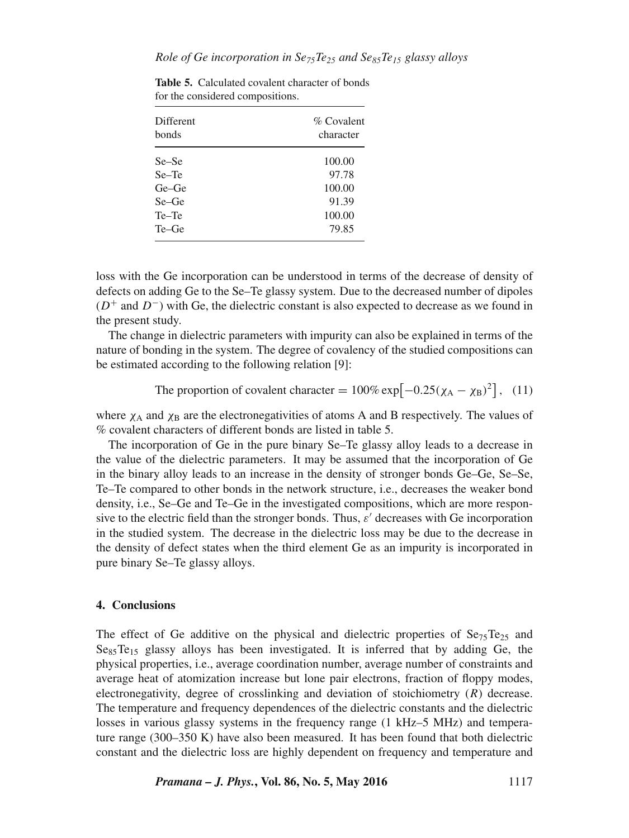| Different<br>bonds | % Covalent<br>character |  |  |
|--------------------|-------------------------|--|--|
| Se–Se              | 100.00                  |  |  |
| Se-Te              | 97.78                   |  |  |
| Ge–Ge              | 100.00                  |  |  |
| Se–Ge              | 91.39                   |  |  |
| Te-Te              | 100.00                  |  |  |
| Te–Ge              | 79.85                   |  |  |
|                    |                         |  |  |

**Table 5.** Calculated covalent character of bonds for the considered compositions.

loss with the Ge incorporation can be understood in terms of the decrease of density of defects on adding Ge to the Se–Te glassy system. Due to the decreased number of dipoles  $(D^+$  and  $D^-$ ) with Ge, the dielectric constant is also expected to decrease as we found in the present study.

The change in dielectric parameters with impurity can also be explained in terms of the nature of bonding in the system. The degree of covalency of the studied compositions can be estimated according to the following relation [9]:

The proportion of covalent character = 
$$
100\% \exp[-0.25(\chi_A - \chi_B)^2]
$$
, (11)

where  $\chi_A$  and  $\chi_B$  are the electronegativities of atoms A and B respectively. The values of % covalent characters of different bonds are listed in table 5.

The incorporation of Ge in the pure binary Se–Te glassy alloy leads to a decrease in the value of the dielectric parameters. It may be assumed that the incorporation of Ge in the binary alloy leads to an increase in the density of stronger bonds Ge–Ge, Se–Se, Te–Te compared to other bonds in the network structure, i.e., decreases the weaker bond density, i.e., Se–Ge and Te–Ge in the investigated compositions, which are more responsive to the electric field than the stronger bonds. Thus,  $\varepsilon'$  decreases with Ge incorporation in the studied system. The decrease in the dielectric loss may be due to the decrease in the density of defect states when the third element Ge as an impurity is incorporated in pure binary Se–Te glassy alloys.

## **4. Conclusions**

The effect of Ge additive on the physical and dielectric properties of  $Se_{75}Te_{25}$  and  $S_{\text{e}_{85}}$ Te<sub>15</sub> glassy alloys has been investigated. It is inferred that by adding Ge, the physical properties, i.e., average coordination number, average number of constraints and average heat of atomization increase but lone pair electrons, fraction of floppy modes, electronegativity, degree of crosslinking and deviation of stoichiometry (R) decrease. The temperature and frequency dependences of the dielectric constants and the dielectric losses in various glassy systems in the frequency range (1 kHz–5 MHz) and temperature range (300–350 K) have also been measured. It has been found that both dielectric constant and the dielectric loss are highly dependent on frequency and temperature and